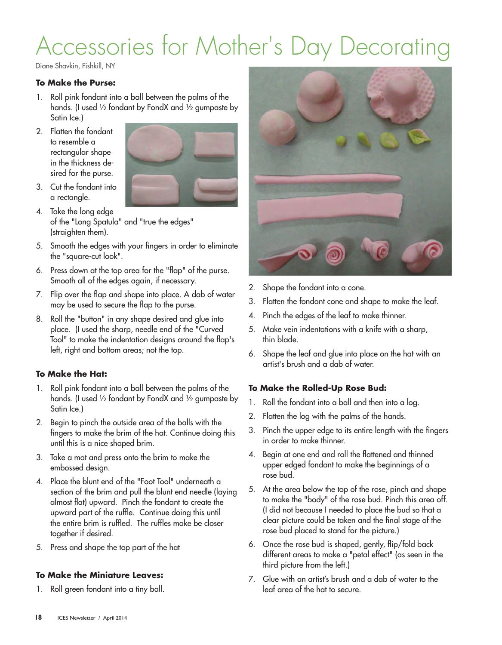# Accessories for Mother's Day Decorating

Diane Shavkin, Fishkill, NY

## **To Make the Purse:**

- 1. Roll pink fondant into a ball between the palms of the hands. (I used ½ fondant by FondX and ½ gumpaste by Satin Ice.)
- 2. Flatten the fondant to resemble a rectangular shape in the thickness desired for the purse.



- 3. Cut the fondant into a rectangle.
- 4. Take the long edge of the "Long Spatula" and "true the edges" (straighten them).
- 5. Smooth the edges with your fingers in order to eliminate the "square-cut look".
- 6. Press down at the top area for the "flap" of the purse. Smooth all of the edges again, if necessary.
- 7. Flip over the flap and shape into place. A dab of water may be used to secure the flap to the purse.
- 8. Roll the "button" in any shape desired and glue into place. (I used the sharp, needle end of the "Curved Tool" to make the indentation designs around the flap's left, right and bottom areas; not the top.

## **To Make the Hat:**

- 1. Roll pink fondant into a ball between the palms of the hands. (I used ½ fondant by FondX and ½ gumpaste by Satin Ice.)
- 2. Begin to pinch the outside area of the balls with the fingers to make the brim of the hat. Continue doing this until this is a nice shaped brim.
- 3. Take a mat and press onto the brim to make the embossed design.
- 4. Place the blunt end of the "Foot Tool" underneath a section of the brim and pull the blunt end needle (laying almost flat) upward. Pinch the fondant to create the upward part of the ruffle. Continue doing this until the entire brim is ruffled. The ruffles make be closer together if desired.
- 5. Press and shape the top part of the hat

#### **To Make the Miniature Leaves:**

1. Roll green fondant into a tiny ball.



- 2. Shape the fondant into a cone.
- 3. Flatten the fondant cone and shape to make the leaf.
- 4. Pinch the edges of the leaf to make thinner.
- 5. Make vein indentations with a knife with a sharp, thin blade.
- 6. Shape the leaf and glue into place on the hat with an artist's brush and a dab of water.

### **To Make the Rolled-Up Rose Bud:**

- 1. Roll the fondant into a ball and then into a log.
- 2. Flatten the log with the palms of the hands.
- 3. Pinch the upper edge to its entire length with the fingers in order to make thinner.
- 4. Begin at one end and roll the flattened and thinned upper edged fondant to make the beginnings of a rose bud.
- 5. At the area below the top of the rose, pinch and shape to make the "body" of the rose bud. Pinch this area off. (I did not because I needed to place the bud so that a clear picture could be taken and the final stage of the rose bud placed to stand for the picture.)
- 6. Once the rose bud is shaped, gently, flip/fold back different areas to make a "petal effect" (as seen in the third picture from the left.)
- 7. Glue with an artist's brush and a dab of water to the leaf area of the hat to secure.